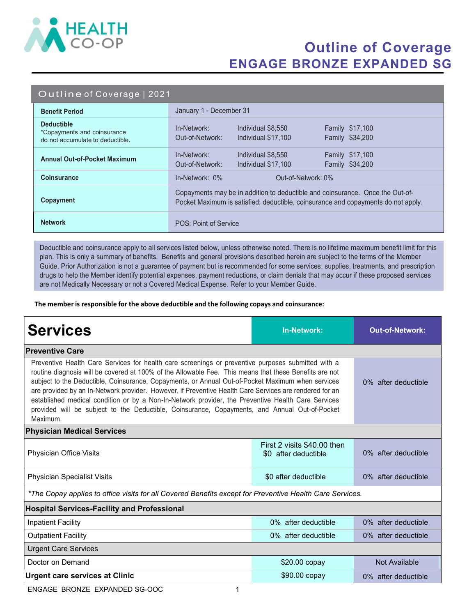

## Outline of Coverage ENGAGE BRONZE EXPANDED SG

#### Outline of Coverage | 2021

| <b>Benefit Period</b>                                                                | January 1 - December 31                                                                                                                                            |  |  |
|--------------------------------------------------------------------------------------|--------------------------------------------------------------------------------------------------------------------------------------------------------------------|--|--|
| <b>Deductible</b><br>*Copayments and coinsurance<br>do not accumulate to deductible. | In-Network:<br>Individual \$8,550<br><b>Family \$17,100</b><br>Out-of-Network:<br>Family \$34,200<br>Individual \$17,100                                           |  |  |
| <b>Annual Out-of-Pocket Maximum</b>                                                  | Family \$17,100<br>In-Network:<br>Individual \$8,550<br>Family \$34,200<br>Out-of-Network:<br>Individual \$17,100                                                  |  |  |
| <b>Coinsurance</b>                                                                   | $In-Network: 0\%$<br>Out-of-Network: 0%                                                                                                                            |  |  |
| Copayment                                                                            | Copayments may be in addition to deductible and coinsurance. Once the Out-of-<br>Pocket Maximum is satisfied; deductible, coinsurance and copayments do not apply. |  |  |
| <b>Network</b>                                                                       | POS: Point of Service                                                                                                                                              |  |  |

Deductible and coinsurance apply to all services listed below, unless otherwise noted. There is no lifetime maximum benefit limit for this plan. This is only a summary of benefits. Benefits and general provisions described herein are subject to the terms of the Member Guide. Prior Authorization is not a guarantee of payment but is recommended for some services, supplies, treatments, and prescription drugs to help the Member identify potential expenses, payment reductions, or claim denials that may occur if these proposed services are not Medically Necessary or not a Covered Medical Expense. Refer to your Member Guide.

The member is responsible for the above deductible and the following copays and coinsurance:

| <b>Services</b>                                                                                                                                                                                                                                                                                                                                                                                                                                                                                                                                                                                                                                 | In-Network:                                         | <b>Out-of-Network:</b> |  |  |
|-------------------------------------------------------------------------------------------------------------------------------------------------------------------------------------------------------------------------------------------------------------------------------------------------------------------------------------------------------------------------------------------------------------------------------------------------------------------------------------------------------------------------------------------------------------------------------------------------------------------------------------------------|-----------------------------------------------------|------------------------|--|--|
| <b>Preventive Care</b>                                                                                                                                                                                                                                                                                                                                                                                                                                                                                                                                                                                                                          |                                                     |                        |  |  |
| Preventive Health Care Services for health care screenings or preventive purposes submitted with a<br>routine diagnosis will be covered at 100% of the Allowable Fee. This means that these Benefits are not<br>subject to the Deductible, Coinsurance, Copayments, or Annual Out-of-Pocket Maximum when services<br>are provided by an In-Network provider. However, if Preventive Health Care Services are rendered for an<br>established medical condition or by a Non-In-Network provider, the Preventive Health Care Services<br>provided will be subject to the Deductible, Coinsurance, Copayments, and Annual Out-of-Pocket<br>Maximum. | 0% after deductible                                 |                        |  |  |
| <b>Physician Medical Services</b>                                                                                                                                                                                                                                                                                                                                                                                                                                                                                                                                                                                                               |                                                     |                        |  |  |
| Physician Office Visits                                                                                                                                                                                                                                                                                                                                                                                                                                                                                                                                                                                                                         | First 2 visits \$40.00 then<br>\$0 after deductible | 0% after deductible    |  |  |
| <b>Physician Specialist Visits</b>                                                                                                                                                                                                                                                                                                                                                                                                                                                                                                                                                                                                              | \$0 after deductible                                | 0% after deductible    |  |  |
| *The Copay applies to office visits for all Covered Benefits except for Preventive Health Care Services.                                                                                                                                                                                                                                                                                                                                                                                                                                                                                                                                        |                                                     |                        |  |  |
| <b>Hospital Services-Facility and Professional</b>                                                                                                                                                                                                                                                                                                                                                                                                                                                                                                                                                                                              |                                                     |                        |  |  |
| <b>Inpatient Facility</b>                                                                                                                                                                                                                                                                                                                                                                                                                                                                                                                                                                                                                       | 0% after deductible                                 | 0% after deductible    |  |  |
| <b>Outpatient Facility</b>                                                                                                                                                                                                                                                                                                                                                                                                                                                                                                                                                                                                                      | 0% after deductible                                 | 0% after deductible    |  |  |
| <b>Urgent Care Services</b>                                                                                                                                                                                                                                                                                                                                                                                                                                                                                                                                                                                                                     |                                                     |                        |  |  |
| Doctor on Demand                                                                                                                                                                                                                                                                                                                                                                                                                                                                                                                                                                                                                                | $$20.00$ copay                                      | Not Available          |  |  |
| <b>Urgent care services at Clinic</b>                                                                                                                                                                                                                                                                                                                                                                                                                                                                                                                                                                                                           | \$90.00 copay                                       | 0% after deductible    |  |  |

ENGAGE BRONZE EXPANDED SG-OOC 1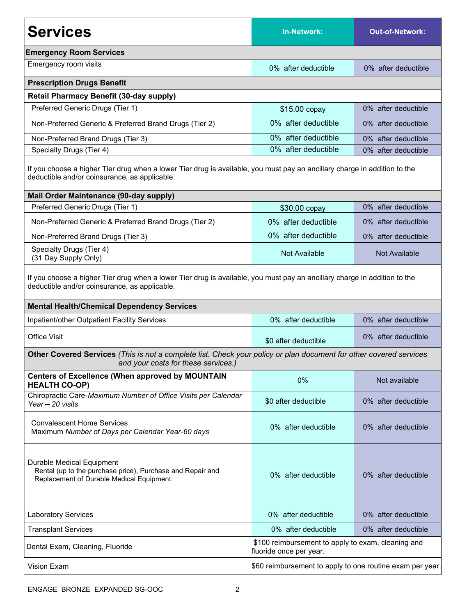| <b>Services</b>                                                                                                                                                                                                                 | <b>In-Network:</b>                                                            | <b>Out-of-Network:</b> |  |  |
|---------------------------------------------------------------------------------------------------------------------------------------------------------------------------------------------------------------------------------|-------------------------------------------------------------------------------|------------------------|--|--|
| <b>Emergency Room Services</b>                                                                                                                                                                                                  |                                                                               |                        |  |  |
| Emergency room visits                                                                                                                                                                                                           | 0% after deductible                                                           | 0% after deductible    |  |  |
| <b>Prescription Drugs Benefit</b>                                                                                                                                                                                               |                                                                               |                        |  |  |
| <b>Retail Pharmacy Benefit (30-day supply)</b>                                                                                                                                                                                  |                                                                               |                        |  |  |
| Preferred Generic Drugs (Tier 1)                                                                                                                                                                                                | \$15.00 copay                                                                 | 0% after deductible    |  |  |
| Non-Preferred Generic & Preferred Brand Drugs (Tier 2)                                                                                                                                                                          | 0% after deductible                                                           | 0% after deductible    |  |  |
| Non-Preferred Brand Drugs (Tier 3)                                                                                                                                                                                              | 0% after deductible                                                           | 0% after deductible    |  |  |
| Specialty Drugs (Tier 4)                                                                                                                                                                                                        | 0% after deductible                                                           | 0% after deductible    |  |  |
| If you choose a higher Tier drug when a lower Tier drug is available, you must pay an ancillary charge in addition to the<br>deductible and/or coinsurance, as applicable.                                                      |                                                                               |                        |  |  |
| <b>Mail Order Maintenance (90-day supply)</b>                                                                                                                                                                                   |                                                                               |                        |  |  |
| Preferred Generic Drugs (Tier 1)                                                                                                                                                                                                | \$30.00 copay                                                                 | 0% after deductible    |  |  |
| Non-Preferred Generic & Preferred Brand Drugs (Tier 2)                                                                                                                                                                          | 0% after deductible                                                           | 0% after deductible    |  |  |
| Non-Preferred Brand Drugs (Tier 3)                                                                                                                                                                                              | 0% after deductible                                                           | 0% after deductible    |  |  |
| Specialty Drugs (Tier 4)<br>(31 Day Supply Only)                                                                                                                                                                                | Not Available                                                                 | Not Available          |  |  |
| If you choose a higher Tier drug when a lower Tier drug is available, you must pay an ancillary charge in addition to the<br>deductible and/or coinsurance, as applicable.<br><b>Mental Health/Chemical Dependency Services</b> |                                                                               |                        |  |  |
| Inpatient/other Outpatient Facility Services                                                                                                                                                                                    | 0% after deductible                                                           | 0% after deductible    |  |  |
| <b>Office Visit</b>                                                                                                                                                                                                             | \$0 after deductible                                                          | 0% after deductible    |  |  |
| Other Covered Services (This is not a complete list. Check your policy or plan document for other covered services<br>and your costs for these services.)                                                                       |                                                                               |                        |  |  |
| <b>Centers of Excellence (When approved by MOUNTAIN</b><br><b>HEALTH CO-OP)</b>                                                                                                                                                 | 0%                                                                            | Not available          |  |  |
| Chiropractic Care-Maximum Number of Office Visits per Calendar<br>Year - 20 visits                                                                                                                                              | \$0 after deductible                                                          | 0% after deductible    |  |  |
| <b>Convalescent Home Services</b><br>Maximum Number of Days per Calendar Year-60 days                                                                                                                                           | 0% after deductible                                                           | 0% after deductible    |  |  |
| Durable Medical Equipment<br>Rental (up to the purchase price), Purchase and Repair and<br>Replacement of Durable Medical Equipment.                                                                                            | 0% after deductible                                                           | 0% after deductible    |  |  |
| <b>Laboratory Services</b>                                                                                                                                                                                                      | 0% after deductible                                                           | 0% after deductible    |  |  |
| <b>Transplant Services</b>                                                                                                                                                                                                      | 0% after deductible                                                           | 0% after deductible    |  |  |
| Dental Exam, Cleaning, Fluoride                                                                                                                                                                                                 | \$100 reimbursement to apply to exam, cleaning and<br>fluoride once per year. |                        |  |  |
| Vision Exam                                                                                                                                                                                                                     | \$60 reimbursement to apply to one routine exam per year.                     |                        |  |  |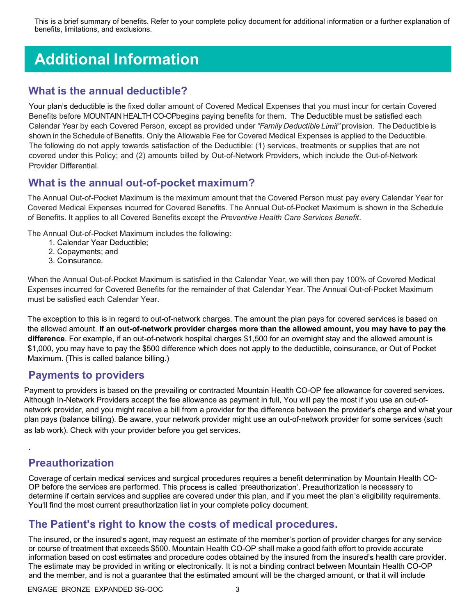This is a brief summary of benefits. Refer to your complete policy document for additional information or a further explanation of benefits, limitations, and exclusions.

# Additional Information

#### What is the annual deductible?

Your plan's deductible is the fixed dollar amount of Covered Medical Expenses that you must incur for certain Covered Benefits before MOUNTAIN HEALTH CO-OPbegins paying benefits for them. The Deductible must be satisfied each Calendar Year by each Covered Person, except as provided under "Family Deductible Limit" provision. The Deductible is shown in the Schedule of Benefits. Only the Allowable Fee for Covered Medical Expenses is applied to the Deductible. The following do not apply towards satisfaction of the Deductible: (1) services, treatments or supplies that are not covered under this Policy; and (2) amounts billed by Out-of-Network Providers, which include the Out-of-Network Provider Differential.

#### What is the annual out-of-pocket maximum?

The Annual Out-of-Pocket Maximum is the maximum amount that the Covered Person must pay every Calendar Year for Covered Medical Expenses incurred for Covered Benefits. The Annual Out-of-Pocket Maximum is shown in the Schedule of Benefits. It applies to all Covered Benefits except the Preventive Health Care Services Benefit.

The Annual Out-of-Pocket Maximum includes the following:

- 1. Calendar Year Deductible;
- 2. Copayments; and
- 3. Coinsurance.

When the Annual Out-of-Pocket Maximum is satisfied in the Calendar Year, we will then pay 100% of Covered Medical Expenses incurred for Covered Benefits for the remainder of that Calendar Year. The Annual Out-of-Pocket Maximum must be satisfied each Calendar Year.

The exception to this is in regard to out-of-network charges. The amount the plan pays for covered services is based on the allowed amount. If an out-of-network provider charges more than the allowed amount, you may have to pay the difference. For example, if an out-of-network hospital charges \$1,500 for an overnight stay and the allowed amount is \$1,000, you may have to pay the \$500 difference which does not apply to the deductible, coinsurance, or Out of Pocket Maximum. (This is called balance billing.)

#### Payments to providers

Payment to providers is based on the prevailing or contracted Mountain Health CO-OP fee allowance for covered services. Although In-Network Providers accept the fee allowance as payment in full, You will pay the most if you use an out-ofnetwork provider, and you might receive a bill from a provider for the difference between the provider's charge and what your plan pays (balance billing). Be aware, your network provider might use an out-of-network provider for some services (such as lab work). Check with your provider before you get services.

### Preauthorization

.

Coverage of certain medical services and surgical procedures requires a benefit determination by Mountain Health CO-OP before the services are performed. This process is called 'preauthorization'. Preauthorization is necessary to determine if certain services and supplies are covered under this plan, and if you meet the plan's eligibility requirements. You'll find the most current preauthorization list in your complete policy document.

#### The Patient's right to know the costs of medical procedures.

The insured, or the insured's agent, may request an estimate of the member's portion of provider charges for any service or course of treatment that exceeds \$500. Mountain Health CO-OP shall make a good faith effort to provide accurate information based on cost estimates and procedure codes obtained by the insured from the insured's health care provider. The estimate may be provided in writing or electronically. It is not a binding contract between Mountain Health CO-OP and the member, and is not a guarantee that the estimated amount will be the charged amount, or that it will include

ENGAGE BRONZE EXPANDED SG-OOC 3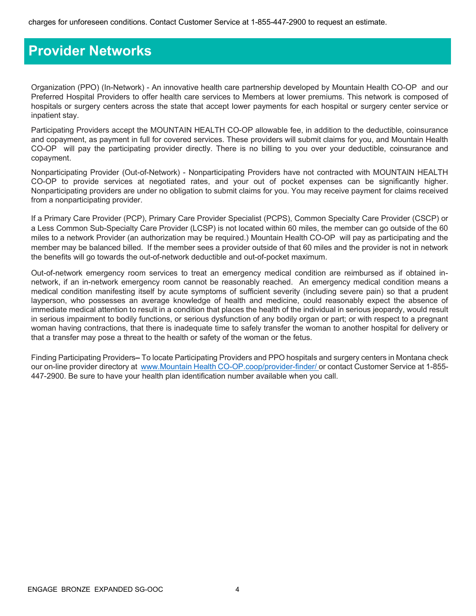### Provider Networks

Organization (PPO) (In-Network) - An innovative health care partnership developed by Mountain Health CO-OP and our Preferred Hospital Providers to offer health care services to Members at lower premiums. This network is composed of hospitals or surgery centers across the state that accept lower payments for each hospital or surgery center service or inpatient stay.

Participating Providers accept the MOUNTAIN HEALTH CO-OP allowable fee, in addition to the deductible, coinsurance and copayment, as payment in full for covered services. These providers will submit claims for you, and Mountain Health CO-OP will pay the participating provider directly. There is no billing to you over your deductible, coinsurance and copayment.

Nonparticipating Provider (Out-of-Network) - Nonparticipating Providers have not contracted with MOUNTAIN HEALTH CO-OP to provide services at negotiated rates, and your out of pocket expenses can be significantly higher. Nonparticipating providers are under no obligation to submit claims for you. You may receive payment for claims received from a nonparticipating provider.

If a Primary Care Provider (PCP), Primary Care Provider Specialist (PCPS), Common Specialty Care Provider (CSCP) or a Less Common Sub-Specialty Care Provider (LCSP) is not located within 60 miles, the member can go outside of the 60 miles to a network Provider (an authorization may be required.) Mountain Health CO-OP will pay as participating and the member may be balanced billed. If the member sees a provider outside of that 60 miles and the provider is not in network the benefits will go towards the out-of-network deductible and out-of-pocket maximum.

Out-of-network emergency room services to treat an emergency medical condition are reimbursed as if obtained innetwork, if an in-network emergency room cannot be reasonably reached. An emergency medical condition means a medical condition manifesting itself by acute symptoms of sufficient severity (including severe pain) so that a prudent layperson, who possesses an average knowledge of health and medicine, could reasonably expect the absence of immediate medical attention to result in a condition that places the health of the individual in serious jeopardy, would result in serious impairment to bodily functions, or serious dysfunction of any bodily organ or part; or with respect to a pregnant woman having contractions, that there is inadequate time to safely transfer the woman to another hospital for delivery or that a transfer may pose a threat to the health or safety of the woman or the fetus.

Finding Participating Providers–To locate Participating Providers and PPO hospitals and surgery centers in Montana check our on-line provider directory at www.Mountain Health CO-OP.coop/provider-finder/ or contact Customer Service at 1-855-447-2900. Be sure to have your health plan identification number available when you call.